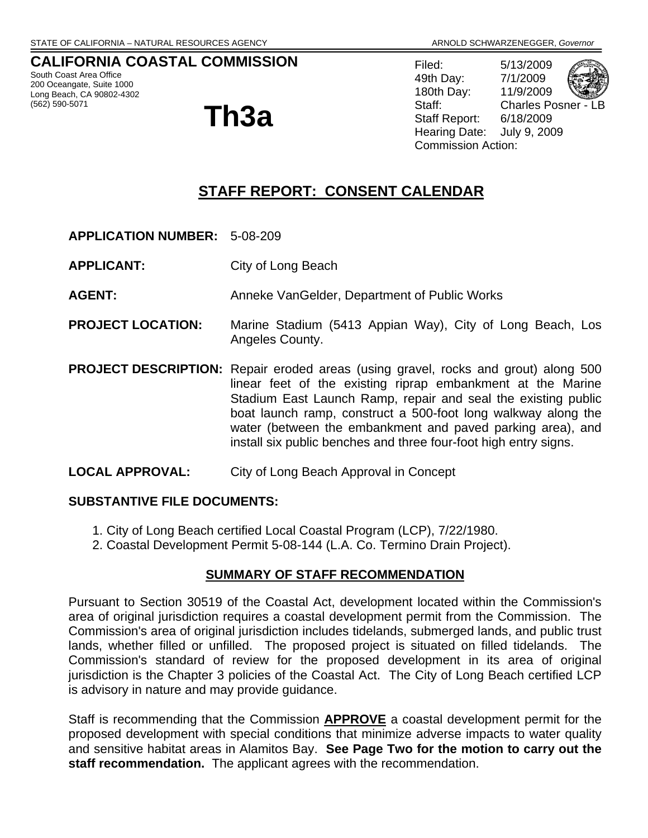### **CALIFORNIA COASTAL COMMISSION**

South Coast Area Office 200 Oceangate, Suite 1000 Long Beach, CA 90802-4302<br>(562) 590-5071

# (562) 590-5071 **Th3a**

Filed: 5/13/2009 49th Day: 7/1/2009 180th Day: 11/9/2009 Staff: Charles Posner - L Staff Report: 6/18/2009 Hearing Date: July 9, 2009 Commission Action:

## **STAFF REPORT: CONSENT CALENDAR**

- **APPLICATION NUMBER:** 5-08-209
- **APPLICANT:** City of Long Beach

**AGENT:** Anneke VanGelder, Department of Public Works

- **PROJECT LOCATION:** Marine Stadium (5413 Appian Way), City of Long Beach, Los Angeles County.
- **PROJECT DESCRIPTION:** Repair eroded areas (using gravel, rocks and grout) along 500 linear feet of the existing riprap embankment at the Marine Stadium East Launch Ramp, repair and seal the existing public boat launch ramp, construct a 500-foot long walkway along the water (between the embankment and paved parking area), and install six public benches and three four-foot high entry signs.

#### **LOCAL APPROVAL:** City of Long Beach Approval in Concept

#### **SUBSTANTIVE FILE DOCUMENTS:**

- 1. City of Long Beach certified Local Coastal Program (LCP), 7/22/1980.
- 2. Coastal Development Permit 5-08-144 (L.A. Co. Termino Drain Project).

#### **SUMMARY OF STAFF RECOMMENDATION**

Pursuant to Section 30519 of the Coastal Act, development located within the Commission's area of original jurisdiction requires a coastal development permit from the Commission. The Commission's area of original jurisdiction includes tidelands, submerged lands, and public trust lands, whether filled or unfilled. The proposed project is situated on filled tidelands. The Commission's standard of review for the proposed development in its area of original jurisdiction is the Chapter 3 policies of the Coastal Act. The City of Long Beach certified LCP is advisory in nature and may provide guidance.

Staff is recommending that the Commission **APPROVE** a coastal development permit for the proposed development with special conditions that minimize adverse impacts to water quality and sensitive habitat areas in Alamitos Bay. **See Page Two for the motion to carry out the staff recommendation.** The applicant agrees with the recommendation.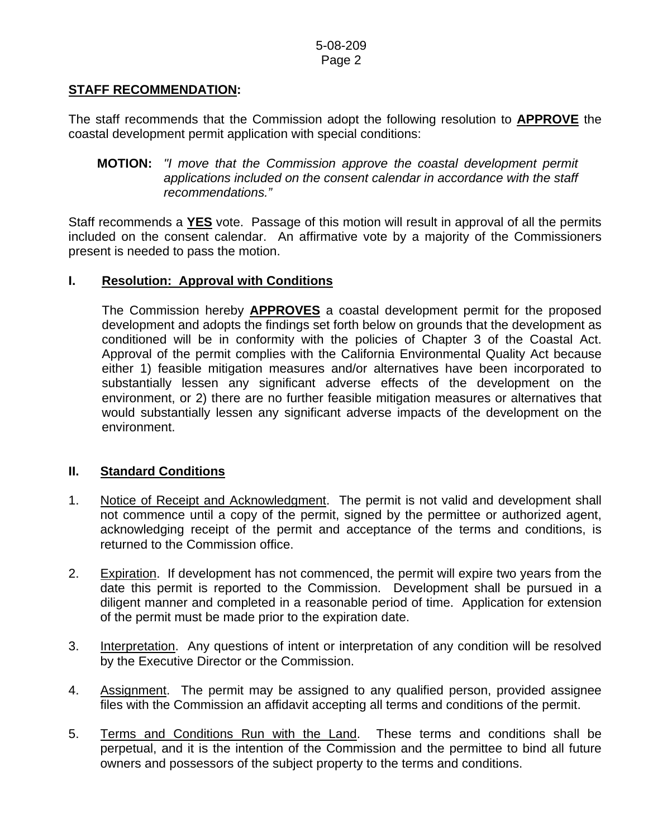## **STAFF RECOMMENDATION:**

The staff recommends that the Commission adopt the following resolution to **APPROVE** the coastal development permit application with special conditions:

Staff recommends a **YES** vote. Passage of this motion will result in approval of all the permits included on the consent calendar. An affirmative vote by a majority of the Commissioners present is needed to pass the motion.

### **I. Resolution: Approval with Conditions**

The Commission hereby **APPROVES** a coastal development permit for the proposed development and adopts the findings set forth below on grounds that the development as conditioned will be in conformity with the policies of Chapter 3 of the Coastal Act. Approval of the permit complies with the California Environmental Quality Act because either 1) feasible mitigation measures and/or alternatives have been incorporated to substantially lessen any significant adverse effects of the development on the environment, or 2) there are no further feasible mitigation measures or alternatives that would substantially lessen any significant adverse impacts of the development on the environment.

### **II. Standard Conditions**

- 1. Notice of Receipt and Acknowledgment. The permit is not valid and development shall not commence until a copy of the permit, signed by the permittee or authorized agent, acknowledging receipt of the permit and acceptance of the terms and conditions, is returned to the Commission office.
- 2. Expiration. If development has not commenced, the permit will expire two years from the date this permit is reported to the Commission. Development shall be pursued in a diligent manner and completed in a reasonable period of time. Application for extension of the permit must be made prior to the expiration date.
- 3. Interpretation. Any questions of intent or interpretation of any condition will be resolved by the Executive Director or the Commission.
- 4. Assignment. The permit may be assigned to any qualified person, provided assignee files with the Commission an affidavit accepting all terms and conditions of the permit.
- 5. Terms and Conditions Run with the Land. These terms and conditions shall be perpetual, and it is the intention of the Commission and the permittee to bind all future owners and possessors of the subject property to the terms and conditions.

**MOTION:** *"I move that the Commission approve the coastal development permit applications included on the consent calendar in accordance with the staff recommendations."*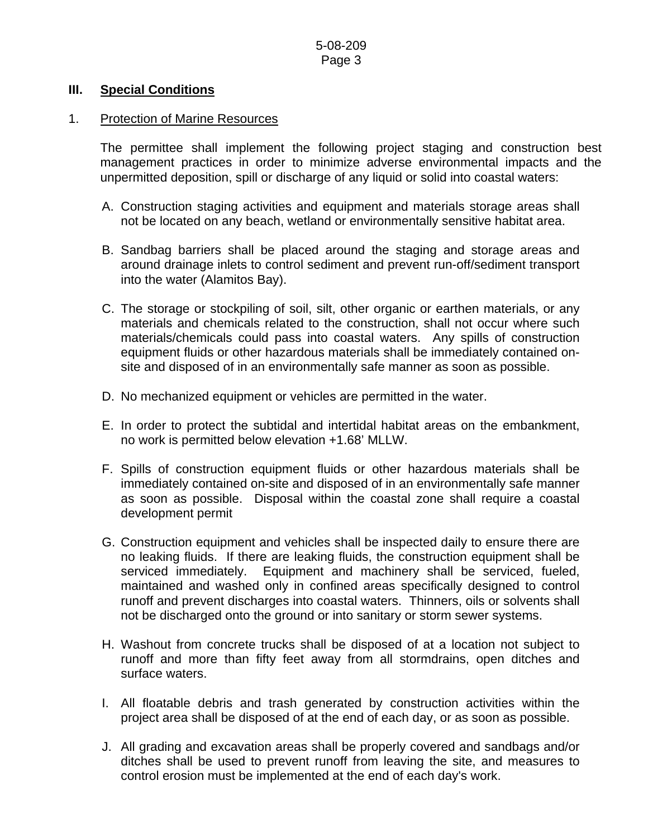#### **III. Special Conditions**

#### 1. Protection of Marine Resources

 The permittee shall implement the following project staging and construction best management practices in order to minimize adverse environmental impacts and the unpermitted deposition, spill or discharge of any liquid or solid into coastal waters:

- A. Construction staging activities and equipment and materials storage areas shall not be located on any beach, wetland or environmentally sensitive habitat area.
- B. Sandbag barriers shall be placed around the staging and storage areas and around drainage inlets to control sediment and prevent run-off/sediment transport into the water (Alamitos Bay).
- C. The storage or stockpiling of soil, silt, other organic or earthen materials, or any materials and chemicals related to the construction, shall not occur where such materials/chemicals could pass into coastal waters. Any spills of construction equipment fluids or other hazardous materials shall be immediately contained onsite and disposed of in an environmentally safe manner as soon as possible.
- D. No mechanized equipment or vehicles are permitted in the water.
- E. In order to protect the subtidal and intertidal habitat areas on the embankment, no work is permitted below elevation +1.68' MLLW.
- F. Spills of construction equipment fluids or other hazardous materials shall be immediately contained on-site and disposed of in an environmentally safe manner as soon as possible. Disposal within the coastal zone shall require a coastal development permit
- G. Construction equipment and vehicles shall be inspected daily to ensure there are no leaking fluids. If there are leaking fluids, the construction equipment shall be serviced immediately. Equipment and machinery shall be serviced, fueled, maintained and washed only in confined areas specifically designed to control runoff and prevent discharges into coastal waters. Thinners, oils or solvents shall not be discharged onto the ground or into sanitary or storm sewer systems.
- H. Washout from concrete trucks shall be disposed of at a location not subject to runoff and more than fifty feet away from all stormdrains, open ditches and surface waters.
- I. All floatable debris and trash generated by construction activities within the project area shall be disposed of at the end of each day, or as soon as possible.
- J. All grading and excavation areas shall be properly covered and sandbags and/or ditches shall be used to prevent runoff from leaving the site, and measures to control erosion must be implemented at the end of each day's work.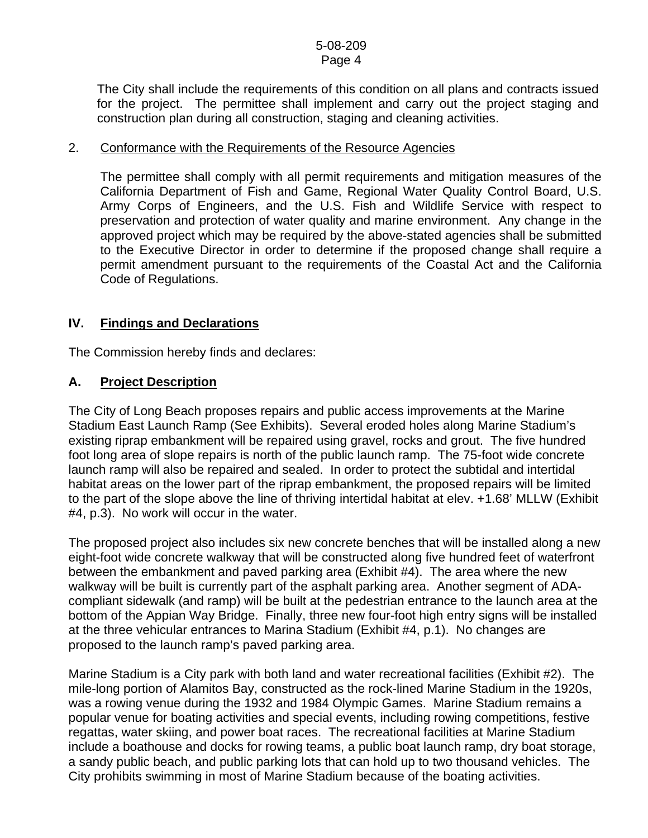#### 5-08-209 Page 4

 The City shall include the requirements of this condition on all plans and contracts issued for the project. The permittee shall implement and carry out the project staging and construction plan during all construction, staging and cleaning activities.

#### 2. Conformance with the Requirements of the Resource Agencies

 The permittee shall comply with all permit requirements and mitigation measures of the California Department of Fish and Game, Regional Water Quality Control Board, U.S. Army Corps of Engineers, and the U.S. Fish and Wildlife Service with respect to preservation and protection of water quality and marine environment. Any change in the approved project which may be required by the above-stated agencies shall be submitted to the Executive Director in order to determine if the proposed change shall require a permit amendment pursuant to the requirements of the Coastal Act and the California Code of Regulations.

## **IV. Findings and Declarations**

The Commission hereby finds and declares:

## **A. Project Description**

The City of Long Beach proposes repairs and public access improvements at the Marine Stadium East Launch Ramp (See Exhibits). Several eroded holes along Marine Stadium's existing riprap embankment will be repaired using gravel, rocks and grout. The five hundred foot long area of slope repairs is north of the public launch ramp. The 75-foot wide concrete launch ramp will also be repaired and sealed. In order to protect the subtidal and intertidal habitat areas on the lower part of the riprap embankment, the proposed repairs will be limited to the part of the slope above the line of thriving intertidal habitat at elev. +1.68' MLLW (Exhibit #4, p.3). No work will occur in the water.

The proposed project also includes six new concrete benches that will be installed along a new eight-foot wide concrete walkway that will be constructed along five hundred feet of waterfront between the embankment and paved parking area (Exhibit #4). The area where the new walkway will be built is currently part of the asphalt parking area. Another segment of ADAcompliant sidewalk (and ramp) will be built at the pedestrian entrance to the launch area at the bottom of the Appian Way Bridge. Finally, three new four-foot high entry signs will be installed at the three vehicular entrances to Marina Stadium (Exhibit #4, p.1). No changes are proposed to the launch ramp's paved parking area.

Marine Stadium is a City park with both land and water recreational facilities (Exhibit #2). The mile-long portion of Alamitos Bay, constructed as the rock-lined Marine Stadium in the 1920s, was a rowing venue during the 1932 and 1984 Olympic Games. Marine Stadium remains a popular venue for boating activities and special events, including rowing competitions, festive regattas, water skiing, and power boat races. The recreational facilities at Marine Stadium include a boathouse and docks for rowing teams, a public boat launch ramp, dry boat storage, a sandy public beach, and public parking lots that can hold up to two thousand vehicles. The City prohibits swimming in most of Marine Stadium because of the boating activities.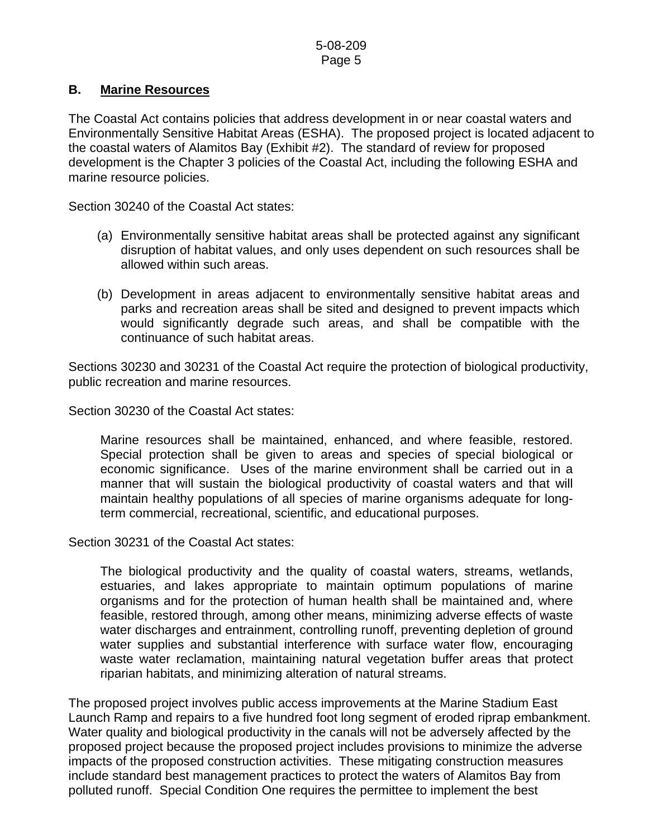## **B. Marine Resources**

The Coastal Act contains policies that address development in or near coastal waters and Environmentally Sensitive Habitat Areas (ESHA). The proposed project is located adjacent to the coastal waters of Alamitos Bay (Exhibit #2). The standard of review for proposed development is the Chapter 3 policies of the Coastal Act, including the following ESHA and marine resource policies.

Section 30240 of the Coastal Act states:

- (a) Environmentally sensitive habitat areas shall be protected against any significant disruption of habitat values, and only uses dependent on such resources shall be allowed within such areas.
- (b) Development in areas adjacent to environmentally sensitive habitat areas and parks and recreation areas shall be sited and designed to prevent impacts which would significantly degrade such areas, and shall be compatible with the continuance of such habitat areas.

Sections 30230 and 30231 of the Coastal Act require the protection of biological productivity, public recreation and marine resources.

Section 30230 of the Coastal Act states:

 Marine resources shall be maintained, enhanced, and where feasible, restored. Special protection shall be given to areas and species of special biological or economic significance. Uses of the marine environment shall be carried out in a manner that will sustain the biological productivity of coastal waters and that will maintain healthy populations of all species of marine organisms adequate for longterm commercial, recreational, scientific, and educational purposes.

Section 30231 of the Coastal Act states:

 The biological productivity and the quality of coastal waters, streams, wetlands, estuaries, and lakes appropriate to maintain optimum populations of marine organisms and for the protection of human health shall be maintained and, where feasible, restored through, among other means, minimizing adverse effects of waste water discharges and entrainment, controlling runoff, preventing depletion of ground water supplies and substantial interference with surface water flow, encouraging waste water reclamation, maintaining natural vegetation buffer areas that protect riparian habitats, and minimizing alteration of natural streams.

The proposed project involves public access improvements at the Marine Stadium East Launch Ramp and repairs to a five hundred foot long segment of eroded riprap embankment. Water quality and biological productivity in the canals will not be adversely affected by the proposed project because the proposed project includes provisions to minimize the adverse impacts of the proposed construction activities. These mitigating construction measures include standard best management practices to protect the waters of Alamitos Bay from polluted runoff. Special Condition One requires the permittee to implement the best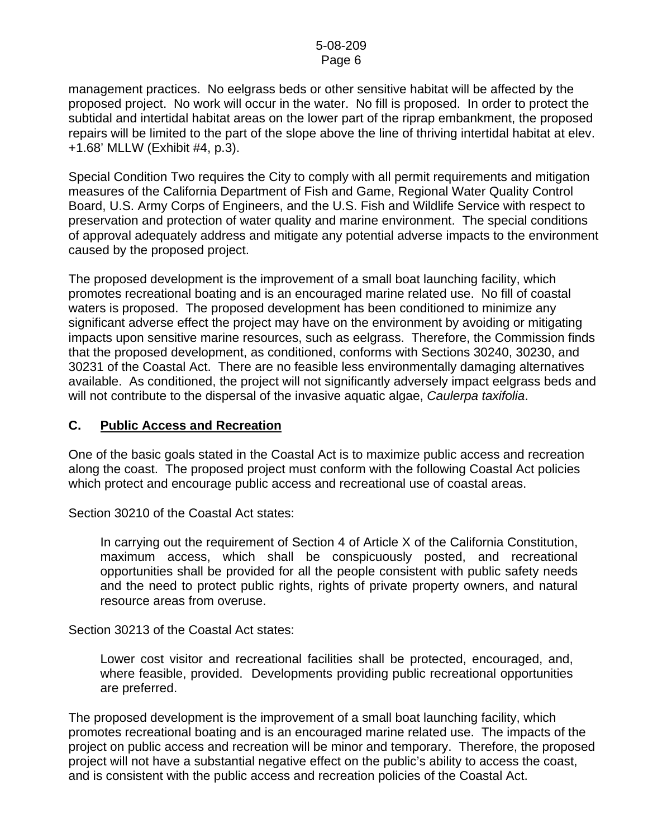#### 5-08-209 Page 6

management practices. No eelgrass beds or other sensitive habitat will be affected by the proposed project. No work will occur in the water. No fill is proposed. In order to protect the subtidal and intertidal habitat areas on the lower part of the riprap embankment, the proposed repairs will be limited to the part of the slope above the line of thriving intertidal habitat at elev. +1.68' MLLW (Exhibit #4, p.3).

Special Condition Two requires the City to comply with all permit requirements and mitigation measures of the California Department of Fish and Game, Regional Water Quality Control Board, U.S. Army Corps of Engineers, and the U.S. Fish and Wildlife Service with respect to preservation and protection of water quality and marine environment. The special conditions of approval adequately address and mitigate any potential adverse impacts to the environment caused by the proposed project.

The proposed development is the improvement of a small boat launching facility, which promotes recreational boating and is an encouraged marine related use. No fill of coastal waters is proposed. The proposed development has been conditioned to minimize any significant adverse effect the project may have on the environment by avoiding or mitigating impacts upon sensitive marine resources, such as eelgrass. Therefore, the Commission finds that the proposed development, as conditioned, conforms with Sections 30240, 30230, and 30231 of the Coastal Act. There are no feasible less environmentally damaging alternatives available. As conditioned, the project will not significantly adversely impact eelgrass beds and will not contribute to the dispersal of the invasive aquatic algae, *Caulerpa taxifolia*.

#### **C. Public Access and Recreation**

One of the basic goals stated in the Coastal Act is to maximize public access and recreation along the coast. The proposed project must conform with the following Coastal Act policies which protect and encourage public access and recreational use of coastal areas.

Section 30210 of the Coastal Act states:

 In carrying out the requirement of Section 4 of Article X of the California Constitution, maximum access, which shall be conspicuously posted, and recreational opportunities shall be provided for all the people consistent with public safety needs and the need to protect public rights, rights of private property owners, and natural resource areas from overuse.

Section 30213 of the Coastal Act states:

 Lower cost visitor and recreational facilities shall be protected, encouraged, and, where feasible, provided. Developments providing public recreational opportunities are preferred.

The proposed development is the improvement of a small boat launching facility, which promotes recreational boating and is an encouraged marine related use. The impacts of the project on public access and recreation will be minor and temporary. Therefore, the proposed project will not have a substantial negative effect on the public's ability to access the coast, and is consistent with the public access and recreation policies of the Coastal Act.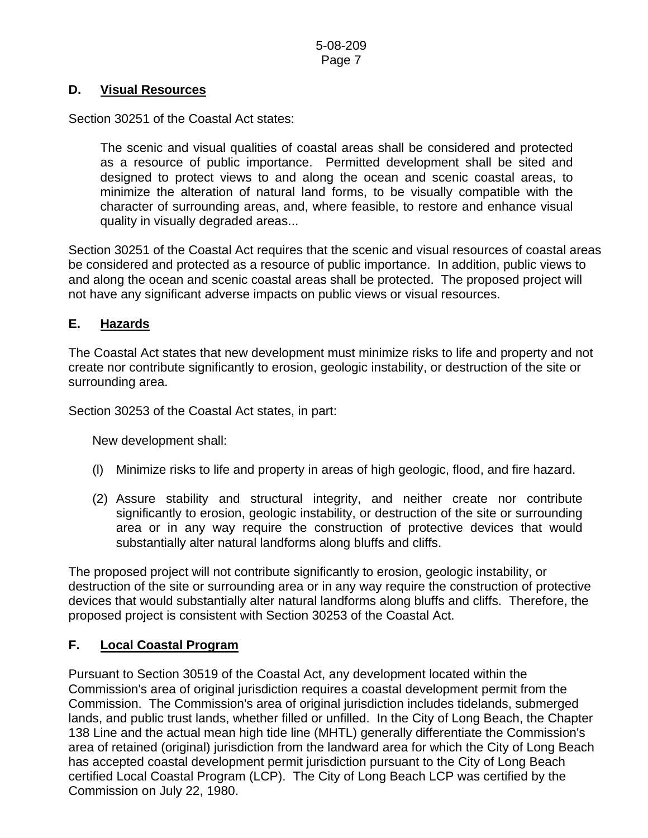### **D. Visual Resources**

Section 30251 of the Coastal Act states:

 The scenic and visual qualities of coastal areas shall be considered and protected as a resource of public importance. Permitted development shall be sited and designed to protect views to and along the ocean and scenic coastal areas, to minimize the alteration of natural land forms, to be visually compatible with the character of surrounding areas, and, where feasible, to restore and enhance visual quality in visually degraded areas...

Section 30251 of the Coastal Act requires that the scenic and visual resources of coastal areas be considered and protected as a resource of public importance. In addition, public views to and along the ocean and scenic coastal areas shall be protected. The proposed project will not have any significant adverse impacts on public views or visual resources.

## **E. Hazards**

The Coastal Act states that new development must minimize risks to life and property and not create nor contribute significantly to erosion, geologic instability, or destruction of the site or surrounding area.

Section 30253 of the Coastal Act states, in part:

New development shall:

- (l) Minimize risks to life and property in areas of high geologic, flood, and fire hazard.
- (2) Assure stability and structural integrity, and neither create nor contribute significantly to erosion, geologic instability, or destruction of the site or surrounding area or in any way require the construction of protective devices that would substantially alter natural landforms along bluffs and cliffs.

The proposed project will not contribute significantly to erosion, geologic instability, or destruction of the site or surrounding area or in any way require the construction of protective devices that would substantially alter natural landforms along bluffs and cliffs. Therefore, the proposed project is consistent with Section 30253 of the Coastal Act.

### **F. Local Coastal Program**

Pursuant to Section 30519 of the Coastal Act, any development located within the Commission's area of original jurisdiction requires a coastal development permit from the Commission. The Commission's area of original jurisdiction includes tidelands, submerged lands, and public trust lands, whether filled or unfilled. In the City of Long Beach, the Chapter 138 Line and the actual mean high tide line (MHTL) generally differentiate the Commission's area of retained (original) jurisdiction from the landward area for which the City of Long Beach has accepted coastal development permit jurisdiction pursuant to the City of Long Beach certified Local Coastal Program (LCP). The City of Long Beach LCP was certified by the Commission on July 22, 1980.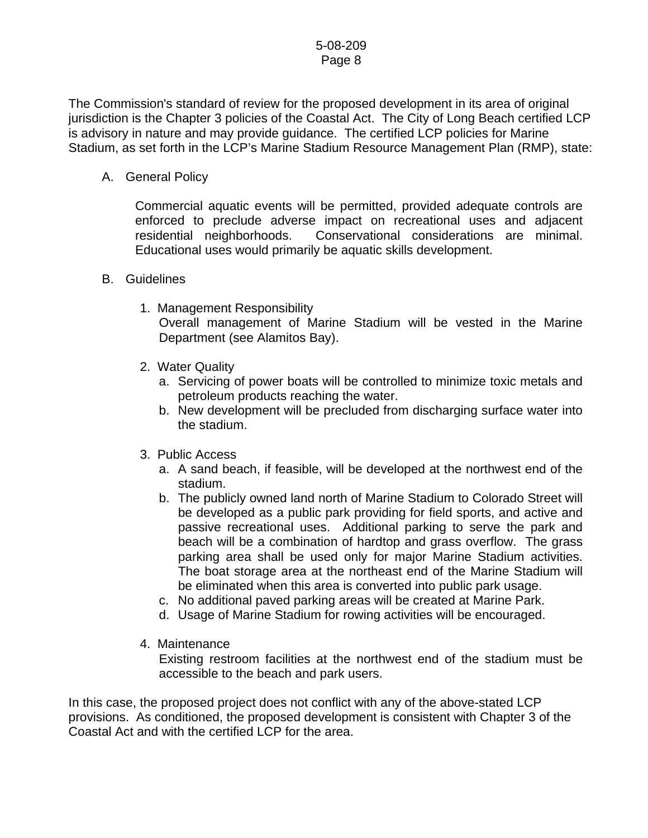#### 5-08-209 Page 8

The Commission's standard of review for the proposed development in its area of original jurisdiction is the Chapter 3 policies of the Coastal Act. The City of Long Beach certified LCP is advisory in nature and may provide guidance. The certified LCP policies for Marine Stadium, as set forth in the LCP's Marine Stadium Resource Management Plan (RMP), state:

A. General Policy

Commercial aquatic events will be permitted, provided adequate controls are enforced to preclude adverse impact on recreational uses and adjacent residential neighborhoods. Conservational considerations are minimal. Educational uses would primarily be aquatic skills development.

- B. Guidelines
	- 1. Management Responsibility Overall management of Marine Stadium will be vested in the Marine Department (see Alamitos Bay).
	- 2. Water Quality
		- a. Servicing of power boats will be controlled to minimize toxic metals and petroleum products reaching the water.
		- b. New development will be precluded from discharging surface water into the stadium.
	- 3. Public Access
		- a. A sand beach, if feasible, will be developed at the northwest end of the stadium.
		- b. The publicly owned land north of Marine Stadium to Colorado Street will be developed as a public park providing for field sports, and active and passive recreational uses. Additional parking to serve the park and beach will be a combination of hardtop and grass overflow. The grass parking area shall be used only for major Marine Stadium activities. The boat storage area at the northeast end of the Marine Stadium will be eliminated when this area is converted into public park usage.
		- c. No additional paved parking areas will be created at Marine Park.
		- d. Usage of Marine Stadium for rowing activities will be encouraged.
	- 4. Maintenance

Existing restroom facilities at the northwest end of the stadium must be accessible to the beach and park users.

In this case, the proposed project does not conflict with any of the above-stated LCP provisions. As conditioned, the proposed development is consistent with Chapter 3 of the Coastal Act and with the certified LCP for the area.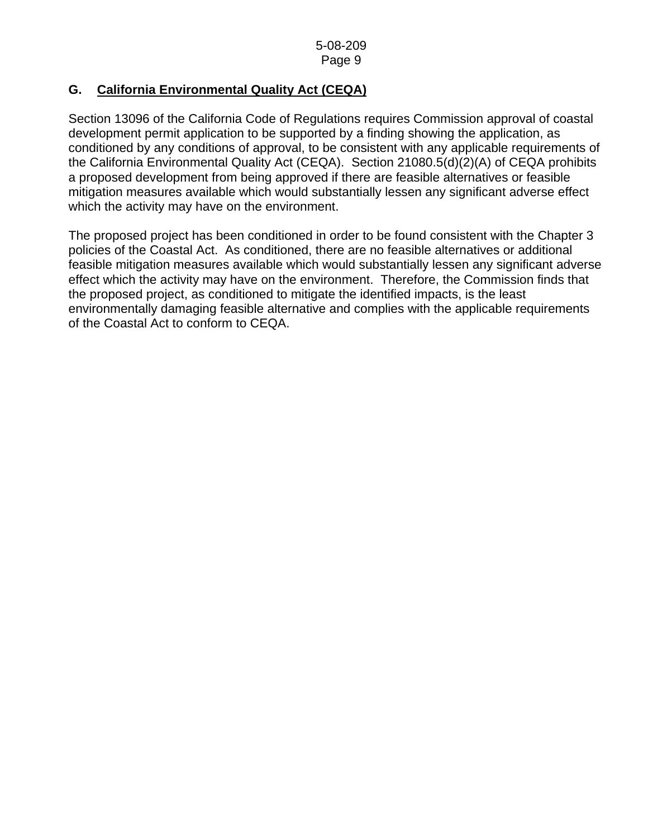## **G. California Environmental Quality Act (CEQA)**

Section 13096 of the California Code of Regulations requires Commission approval of coastal development permit application to be supported by a finding showing the application, as conditioned by any conditions of approval, to be consistent with any applicable requirements of the California Environmental Quality Act (CEQA). Section 21080.5(d)(2)(A) of CEQA prohibits a proposed development from being approved if there are feasible alternatives or feasible mitigation measures available which would substantially lessen any significant adverse effect which the activity may have on the environment.

The proposed project has been conditioned in order to be found consistent with the Chapter 3 policies of the Coastal Act. As conditioned, there are no feasible alternatives or additional feasible mitigation measures available which would substantially lessen any significant adverse effect which the activity may have on the environment. Therefore, the Commission finds that the proposed project, as conditioned to mitigate the identified impacts, is the least environmentally damaging feasible alternative and complies with the applicable requirements of the Coastal Act to conform to CEQA.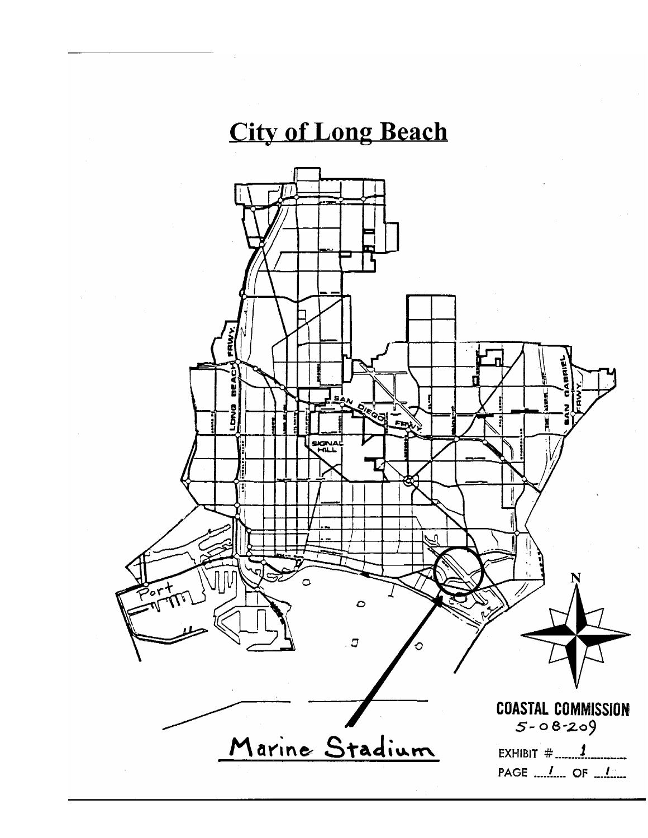## **City of Long Beach**

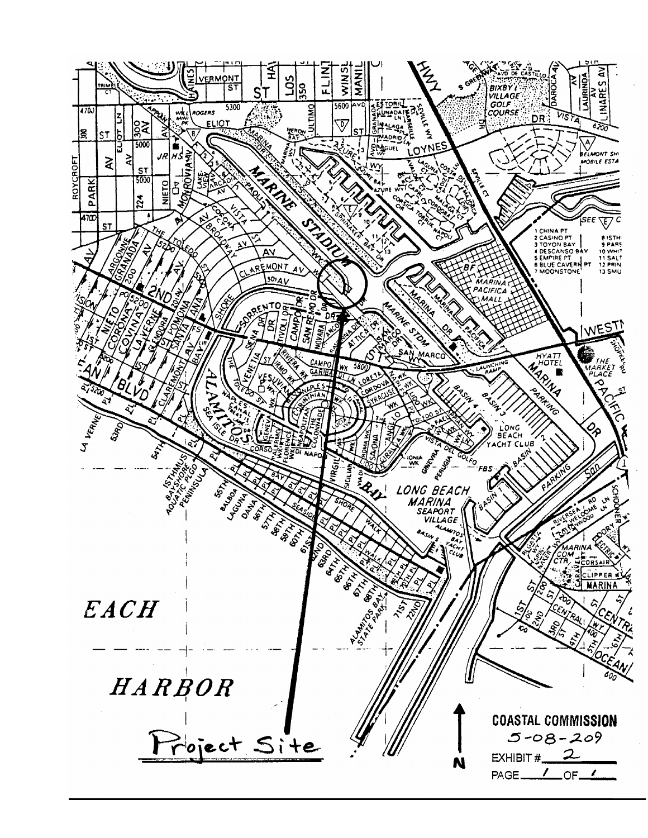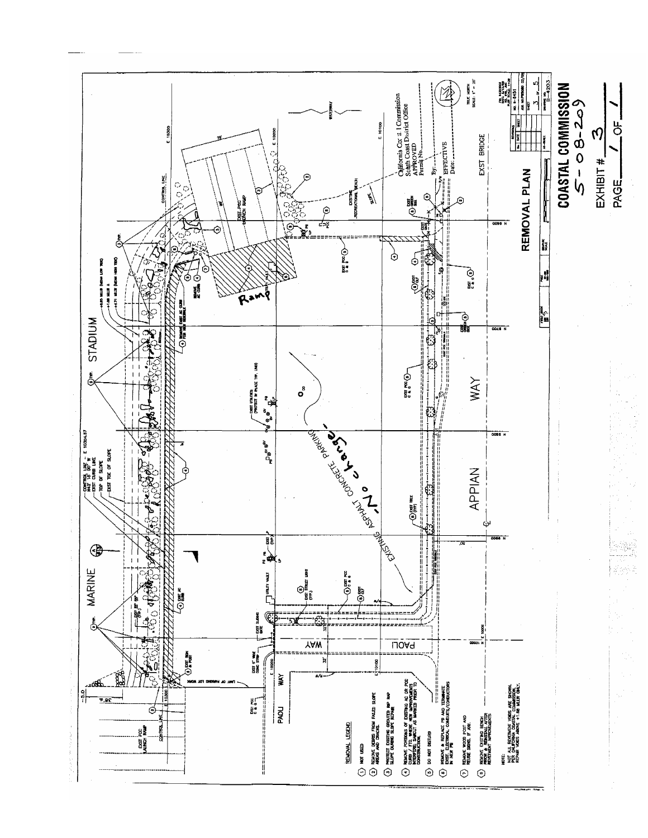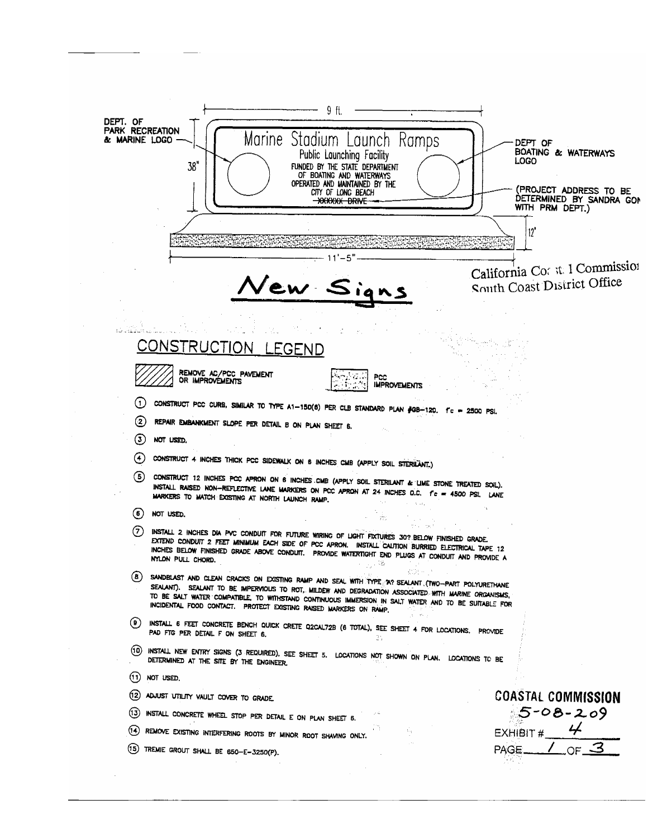| 9 ft.                                                                                                                                                                                                                                                                                                                                   |                                                                                                                            |
|-----------------------------------------------------------------------------------------------------------------------------------------------------------------------------------------------------------------------------------------------------------------------------------------------------------------------------------------|----------------------------------------------------------------------------------------------------------------------------|
| DEPT. OF<br>PARK RECREATION<br>Marine Stadium Launch Ramps<br>& MARINE LOGO<br>Public Launching Facility<br>38"<br>FUNDED BY THE STATE DEPARTMENT<br>OF BOATING AND WATERWAYS<br>OPERATED AND MAINTAINED BY THE<br>CITY OF LONG BEACH<br>-XXXXXX DRIVE                                                                                  | DEPT OF<br><b>BOATING &amp; WATERWAYS</b><br>LOGO<br>(PROJECT ADDRESS TO BE<br>DETERMINED BY SANDRA GOM<br>WITH PRM DEPT.) |
| 12"                                                                                                                                                                                                                                                                                                                                     |                                                                                                                            |
|                                                                                                                                                                                                                                                                                                                                         |                                                                                                                            |
| New Signs                                                                                                                                                                                                                                                                                                                               | California Co: it 1 Commission<br>South Coast District Office                                                              |
|                                                                                                                                                                                                                                                                                                                                         |                                                                                                                            |
|                                                                                                                                                                                                                                                                                                                                         |                                                                                                                            |
| <u>CONSTRUCTION</u> LEGEND                                                                                                                                                                                                                                                                                                              |                                                                                                                            |
| REMOVE AC/PCC PAVEMENT<br>PCC                                                                                                                                                                                                                                                                                                           |                                                                                                                            |
| OR IMPROVEMENTS<br><b>IMPROVEMENTS</b>                                                                                                                                                                                                                                                                                                  |                                                                                                                            |
| 〔1〕<br>CONSTRUCT PCC CURB, SIMILAR TO TYPE A1-150(6) PER CLB STANDARD PLAN #GB-120. I'C = 2500 PSI.                                                                                                                                                                                                                                     |                                                                                                                            |
| $\bf (2)$<br>REPAIR EMBANKMENT SLOPE PER DETAIL B ON PLAN SHEET 6.                                                                                                                                                                                                                                                                      |                                                                                                                            |
| ⊚<br>NOT USED.                                                                                                                                                                                                                                                                                                                          |                                                                                                                            |
| (4)<br>CONSTRUCT 4 INCHES THICK PCC SIDEWALK ON 6 INCHES CMB (APPLY SOIL STERILANT.)                                                                                                                                                                                                                                                    |                                                                                                                            |
| (5)<br>CONSTRUCT 12 INCHES PCC APRON ON 6 INCHES CMB (APPLY SOIL STERILANT & LIME STONE TREATED SOIL).<br>INSTALL RAISED NON-REFLECTIVE LANE MARKERS ON PCC APRON AT 24 INCHES O.C. f'c = 4500 PSI. LANE<br>MARKERS TO MATCH EXISTING AT NORTH LAUNCH RAMP.                                                                             |                                                                                                                            |
| (6)<br>NOT USED.                                                                                                                                                                                                                                                                                                                        |                                                                                                                            |
| (7)<br>INSTALL 2 INCHES DIA PVC CONDUIT FOR FUTURE WIRING OF LIGHT FIXTURES 30? BELOW FINISHED GRADE.<br>EXTEND CONDUIT 2 FEET MINIMUM EACH SIDE OF PCC APRON. INSTALL CAUTION BURRIED ELECTRICAL TAPE 12<br>INCHES BELOW FINISHED GRADE ABOVE CONDUIT. PROVIDE WATERTIGHT END PLUGS AT CONDUIT AND PROVIDE A<br>NYLON PULL CHORD.<br>端 |                                                                                                                            |
| NGC 77<br>(B)<br>SANDBLAST AND CLEAN CRACKS ON EXISTING RAMP AND SEAL WITH TYPE A? SEALANT (TWO-PART POLYURETHANE<br>SEALANT). SEALANT TO BE IMPERVIOUS TO ROT, MILDEW AND DEGRADATION ASSOCIATED WITH MARINE ORGANISMS,                                                                                                                |                                                                                                                            |
| TO BE SALT WATER COMPATIBLE, TO WITHSTAND CONTINUOUS IMMERSION IN SALT WATER AND TO BE SUITABLE FOR<br>INCIDENTAL FOOD CONTACT. PROTECT EXISTING RAISED MARKERS ON RAMP.                                                                                                                                                                |                                                                                                                            |
| ( e )<br>INSTALL 6 FEET CONCRETE BENCH QUICK CRETE Q2CAL72B (6 TOTAL), SEE SHEET 4 FOR LOCATIONS. PROVIDE<br>PAD FIG PER DETAIL F ON SHEET 6.<br>35                                                                                                                                                                                     |                                                                                                                            |
| (10)<br>INSTALL NEW ENTRY SIGNS (3 REQUIRED), SEE SHEET 5. LOCATIONS NOT SHOWN ON PLAN. LOCATIONS TO BE<br>DETERMINED AT THE SITE BY THE ENGINEER.                                                                                                                                                                                      |                                                                                                                            |
| (11)<br>NOT USED.                                                                                                                                                                                                                                                                                                                       |                                                                                                                            |
| (12)<br>ADJUST UTILITY VAULT COVER TO GRADE.                                                                                                                                                                                                                                                                                            | <b>COASTAL COMMISSION</b>                                                                                                  |
| (13)<br>INSTALL CONCRETE WHEEL STOP PER DETAIL E ON PLAN SHEET 6.                                                                                                                                                                                                                                                                       | 5-08-209                                                                                                                   |
| (14)<br>REMOVE EXISTING INTERFERING ROOTS BY MINOR ROOT SHAVING ONLY.                                                                                                                                                                                                                                                                   | EXHIBIT $\sharp$ 4                                                                                                         |
| (15)<br>TREMIE GROUT SHALL BE 650-E-3250(P).                                                                                                                                                                                                                                                                                            | OF $\mathcal{3}$<br>PAGE.                                                                                                  |
|                                                                                                                                                                                                                                                                                                                                         |                                                                                                                            |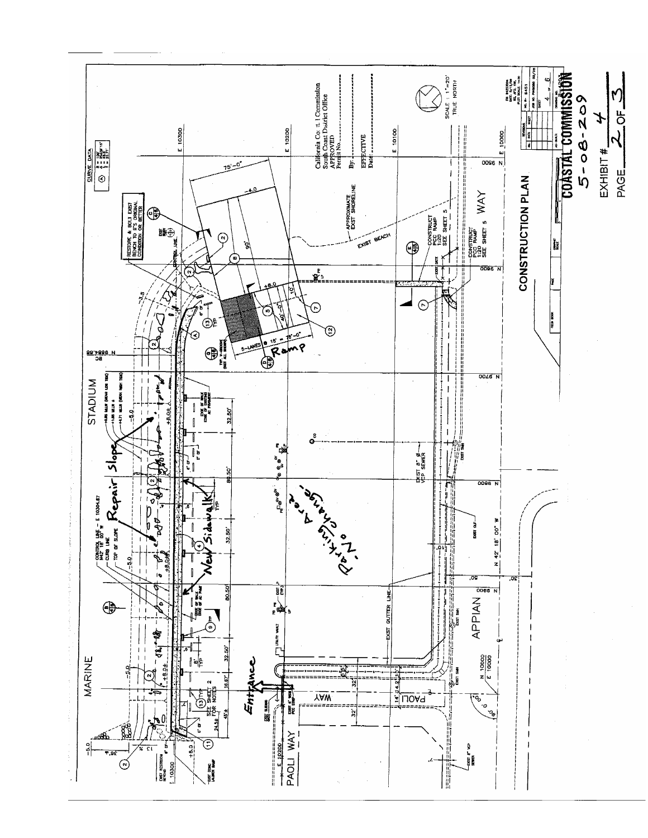